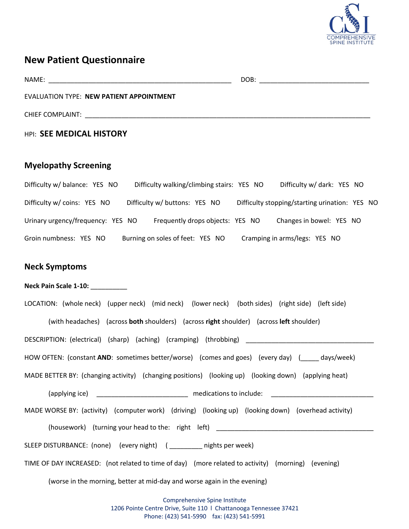

# **New Patient Questionnaire**

|                                                                                                                                                                                                                                | DOB:<br>the control of the control of the control of the control of the control of |
|--------------------------------------------------------------------------------------------------------------------------------------------------------------------------------------------------------------------------------|------------------------------------------------------------------------------------|
| EVALUATION TYPE: NEW PATIENT APPOINTMENT                                                                                                                                                                                       |                                                                                    |
| CHIEF COMPLAINT: University of the complete state of the complete state of the complete state of the complete state of the complete state of the complete state of the complete state of the complete state of the complete st |                                                                                    |
| <b>HPI: SEE MEDICAL HISTORY</b>                                                                                                                                                                                                |                                                                                    |
| <b>Myelopathy Screening</b>                                                                                                                                                                                                    |                                                                                    |
| Difficulty w/ balance: YES NO Difficulty walking/climbing stairs: YES NO Difficulty w/ dark: YES NO                                                                                                                            |                                                                                    |
| Difficulty w/ coins: YES NO Difficulty w/ buttons: YES NO Difficulty stopping/starting urination: YES NO                                                                                                                       |                                                                                    |
| Urinary urgency/frequency: YES NO Frequently drops objects: YES NO Changes in bowel: YES NO                                                                                                                                    |                                                                                    |
| Groin numbness: YES NO Burning on soles of feet: YES NO Cramping in arms/legs: YES NO                                                                                                                                          |                                                                                    |

# **Neck Symptoms**

### **Neck Pain Scale 1-10:** \_\_\_\_\_\_\_\_\_\_

| LOCATION: (whole neck) (upper neck) (mid neck) (lower neck) (both sides) (right side) (left side)     |
|-------------------------------------------------------------------------------------------------------|
| (with headaches) (across both shoulders) (across right shoulder) (across left shoulder)               |
| DESCRIPTION: (electrical) (sharp) (aching) (cramping) (throbbing) _________________________________   |
| HOW OFTEN: (constant AND: sometimes better/worse) (comes and goes) (every day) (accompay) (bays/week) |
| MADE BETTER BY: (changing activity) (changing positions) (looking up) (looking down) (applying heat)  |
|                                                                                                       |
| MADE WORSE BY: (activity) (computer work) (driving) (looking up) (looking down) (overhead activity)   |
| (housework) (turning your head to the: right left)                                                    |
| SLEEP DISTURBANCE: (none) (every night) ( _________ nights per week)                                  |
| TIME OF DAY INCREASED: (not related to time of day) (more related to activity) (morning) (evening)    |

(worse in the morning, better at mid-day and worse again in the evening)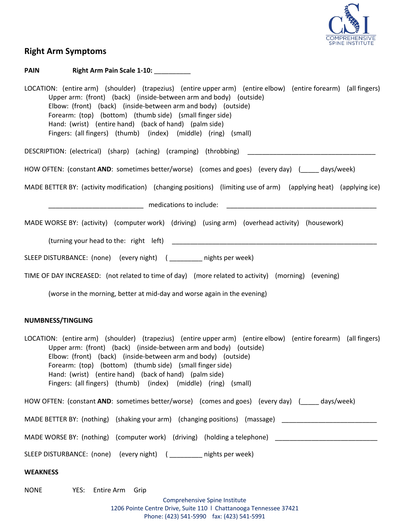

# **Right Arm Symptoms**

### **PAIN Right Arm Pain Scale 1-10:** \_\_\_\_\_\_\_\_\_\_

| LOCATION: (entire arm) (shoulder) (trapezius) (entire upper arm) (entire elbow) (entire forearm) (all fingers)<br>Upper arm: (front) (back) (inside-between arm and body) (outside)<br>Elbow: (front) (back) (inside-between arm and body) (outside)<br>Forearm: (top) (bottom) (thumb side) (small finger side)<br>Hand: (wrist) (entire hand) (back of hand) (palm side)<br>Fingers: (all fingers) (thumb) (index) (middle) (ring) (small) |
|----------------------------------------------------------------------------------------------------------------------------------------------------------------------------------------------------------------------------------------------------------------------------------------------------------------------------------------------------------------------------------------------------------------------------------------------|
| DESCRIPTION: (electrical) (sharp) (aching) (cramping) (throbbing)                                                                                                                                                                                                                                                                                                                                                                            |
| HOW OFTEN: (constant AND: sometimes better/worse) (comes and goes) (every day) (_____ days/week)                                                                                                                                                                                                                                                                                                                                             |
| MADE BETTER BY: (activity modification) (changing positions) (limiting use of arm) (applying heat) (applying ice)                                                                                                                                                                                                                                                                                                                            |
|                                                                                                                                                                                                                                                                                                                                                                                                                                              |
| MADE WORSE BY: (activity) (computer work) (driving) (using arm) (overhead activity) (housework)                                                                                                                                                                                                                                                                                                                                              |
|                                                                                                                                                                                                                                                                                                                                                                                                                                              |
| SLEEP DISTURBANCE: (none) (every night) ( __________ nights per week)                                                                                                                                                                                                                                                                                                                                                                        |
| TIME OF DAY INCREASED: (not related to time of day) (more related to activity) (morning) (evening)                                                                                                                                                                                                                                                                                                                                           |
| (worse in the morning, better at mid-day and worse again in the evening)                                                                                                                                                                                                                                                                                                                                                                     |
| NUMBNESS/TINGLING                                                                                                                                                                                                                                                                                                                                                                                                                            |
| LOCATION: (entire arm) (shoulder) (trapezius) (entire upper arm) (entire elbow) (entire forearm) (all fingers)<br>Upper arm: (front) (back) (inside-between arm and body) (outside)<br>Elbow: (front) (back) (inside-between arm and body) (outside)<br>Forearm: (top) (bottom) (thumb side) (small finger side)<br>Hand: (wrist) (entire hand) (back of hand) (palm side)<br>Fingers: (all fingers) (thumb) (index) (middle) (ring) (small) |
| HOW OFTEN: (constant AND: sometimes better/worse) (comes and goes) (every day) (days/week)                                                                                                                                                                                                                                                                                                                                                   |
| MADE BETTER BY: (nothing) (shaking your arm) (changing positions) (massage) ________________________                                                                                                                                                                                                                                                                                                                                         |
| MADE WORSE BY: (nothing) (computer work) (driving) (holding a telephone) ___________________________                                                                                                                                                                                                                                                                                                                                         |
| SLEEP DISTURBANCE: (none) (every night) ( ________ nights per week)                                                                                                                                                                                                                                                                                                                                                                          |
| <b>WEAKNESS</b>                                                                                                                                                                                                                                                                                                                                                                                                                              |
| <b>NONE</b><br>YES:<br>Entire Arm<br>Grip<br>Comprehensive Spine Institute<br>1206 Pointe Centre Drive, Suite 110   Chattanooga Tennessee 37421                                                                                                                                                                                                                                                                                              |

Phone: (423) 541-5990 fax: (423) 541-5991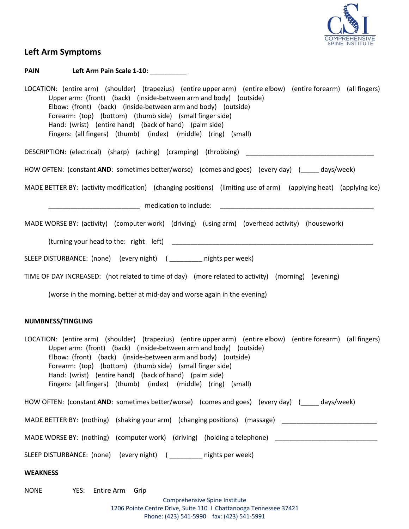

# **Left Arm Symptoms**

### **PAIN Left Arm Pain Scale 1-10:** \_\_\_\_\_\_\_\_\_\_

| LOCATION: (entire arm) (shoulder) (trapezius) (entire upper arm) (entire elbow) (entire forearm) (all fingers)<br>Upper arm: (front) (back) (inside-between arm and body) (outside)<br>Elbow: (front) (back) (inside-between arm and body) (outside)<br>Forearm: (top) (bottom) (thumb side) (small finger side)<br>Hand: (wrist) (entire hand) (back of hand) (palm side)<br>Fingers: (all fingers) (thumb) (index) (middle) (ring) (small) |
|----------------------------------------------------------------------------------------------------------------------------------------------------------------------------------------------------------------------------------------------------------------------------------------------------------------------------------------------------------------------------------------------------------------------------------------------|
| DESCRIPTION: (electrical) (sharp) (aching) (cramping) (throbbing) _________________________________                                                                                                                                                                                                                                                                                                                                          |
| HOW OFTEN: (constant AND: sometimes better/worse) (comes and goes) (every day) (____ days/week)                                                                                                                                                                                                                                                                                                                                              |
| MADE BETTER BY: (activity modification) (changing positions) (limiting use of arm) (applying heat) (applying ice)                                                                                                                                                                                                                                                                                                                            |
|                                                                                                                                                                                                                                                                                                                                                                                                                                              |
| MADE WORSE BY: (activity) (computer work) (driving) (using arm) (overhead activity) (housework)                                                                                                                                                                                                                                                                                                                                              |
|                                                                                                                                                                                                                                                                                                                                                                                                                                              |
| SLEEP DISTURBANCE: (none) (every night) ( __________ nights per week)                                                                                                                                                                                                                                                                                                                                                                        |
| TIME OF DAY INCREASED: (not related to time of day) (more related to activity) (morning) (evening)                                                                                                                                                                                                                                                                                                                                           |
| (worse in the morning, better at mid-day and worse again in the evening)                                                                                                                                                                                                                                                                                                                                                                     |
| <b>NUMBNESS/TINGLING</b>                                                                                                                                                                                                                                                                                                                                                                                                                     |
| LOCATION: (entire arm) (shoulder) (trapezius) (entire upper arm) (entire elbow) (entire forearm) (all fingers)<br>Upper arm: (front) (back) (inside-between arm and body) (outside)<br>Elbow: (front) (back) (inside-between arm and body) (outside)<br>Forearm: (top) (bottom) (thumb side) (small finger side)<br>Hand: (wrist) (entire hand) (back of hand) (palm side)<br>Fingers: (all fingers) (thumb) (index) (middle) (ring) (small) |
| HOW OFTEN: (constant AND: sometimes better/worse) (comes and goes) (every day) (_____ days/week)                                                                                                                                                                                                                                                                                                                                             |
| MADE BETTER BY: (nothing) (shaking your arm) (changing positions) (massage) ________________________                                                                                                                                                                                                                                                                                                                                         |
| MADE WORSE BY: (nothing) (computer work) (driving) (holding a telephone) ___________________________                                                                                                                                                                                                                                                                                                                                         |
| SLEEP DISTURBANCE: (none) (every night) ( _________ nights per week)                                                                                                                                                                                                                                                                                                                                                                         |
| <b>WEAKNESS</b>                                                                                                                                                                                                                                                                                                                                                                                                                              |
| <b>NONE</b><br>YES: Entire Arm Grip                                                                                                                                                                                                                                                                                                                                                                                                          |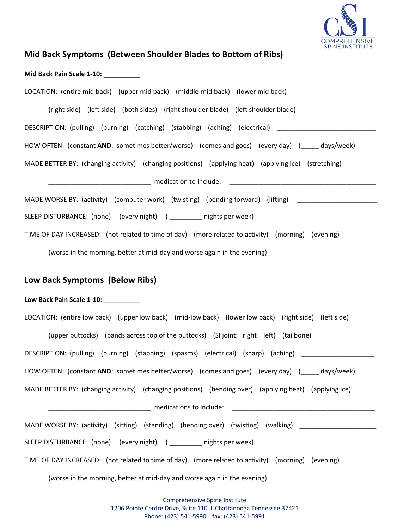

# **Mid Back Symptoms (Between Shoulder Blades to Bottom of Ribs)**

| Mid Back Pain Scale 1-10: |  |
|---------------------------|--|
|---------------------------|--|

| LOCATION: (entire mid back) (upper mid back) (middle-mid back) (lower mid back)                            |
|------------------------------------------------------------------------------------------------------------|
| (right side) (left side) (both sides) (right shoulder blade) (left shoulder blade)                         |
| DESCRIPTION: (pulling) (burning) (catching) (stabbing) (aching) (electrical) _______________________       |
| HOW OFTEN: (constant AND: sometimes better/worse) (comes and goes) (every day) (_____ days/week)           |
| MADE BETTER BY: (changing activity) (changing positions) (applying heat) (applying ice) (stretching)       |
|                                                                                                            |
| MADE WORSE BY: (activity) (computer work) (twisting) (bending forward) (lifting) ___________________       |
| SLEEP DISTURBANCE: (none) (every night) (_________ nights per week)                                        |
| TIME OF DAY INCREASED: (not related to time of day) (more related to activity) (morning) (evening)         |
| (worse in the morning, better at mid-day and worse again in the evening)                                   |
| Low Back Symptoms (Below Ribs)                                                                             |
|                                                                                                            |
| Low Back Pain Scale 1-10: __________                                                                       |
| LOCATION: (entire low back) (upper low back) (mid-low back) (lower low back) (right side) (left side)      |
| (upper buttocks) (bands across top of the buttocks) (SI joint: right left) (tailbone)                      |
| DESCRIPTION: (pulling) (burning) (stabbing) (spasms) (electrical) (sharp) (aching) ________________        |
| HOW OFTEN: (constant AND: sometimes better/worse) (comes and goes) (every day) (days/week)                 |
| MADE BETTER BY: (changing activity) (changing positions) (bending over) (applying heat) (applying ice)     |
|                                                                                                            |
| MADE WORSE BY: (activity) (sitting) (standing) (bending over) (twisting) (walking) _______________________ |
| SLEEP DISTURBANCE: (none) (every night) ( _________ nights per week)                                       |
| TIME OF DAY INCREASED: (not related to time of day) (more related to activity) (morning) (evening)         |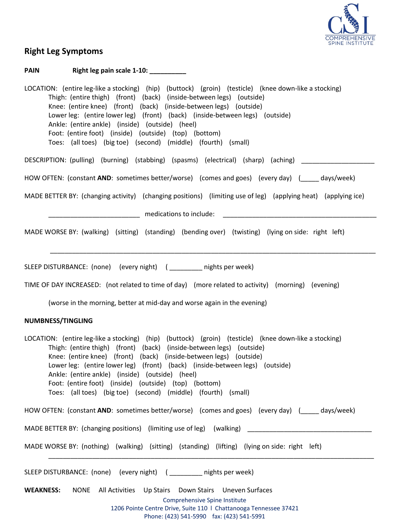

## **Right Leg Symptoms**

#### **PAIN Right leg pain scale 1-10:**

LOCATION: (entire leg-like a stocking) (hip) (buttock) (groin) (testicle) (knee down-like a stocking) Thigh: (entire thigh) (front) (back) (inside-between legs) (outside) Knee: (entire knee) (front) (back) (inside-between legs) (outside) Lower leg: (entire lower leg) (front) (back) (inside-between legs) (outside) Ankle: (entire ankle) (inside) (outside) (heel) Foot: (entire foot) (inside) (outside) (top) (bottom) Toes: (all toes) (big toe) (second) (middle) (fourth) (small)

DESCRIPTION: (pulling) (burning) (stabbing) (spasms) (electrical) (sharp) (aching) \_\_\_\_\_\_\_\_\_\_\_\_\_\_\_\_

HOW OFTEN: (constant **AND**: sometimes better/worse) (comes and goes) (every day) (declays/week)

MADE BETTER BY: (changing activity) (changing positions) (limiting use of leg) (applying heat) (applying ice)

\_\_\_\_\_\_\_\_\_\_\_\_\_\_\_\_\_\_\_\_\_\_\_\_\_\_\_\_\_\_\_\_\_\_\_\_\_\_\_\_\_\_\_\_\_\_\_\_\_\_\_\_\_\_\_\_\_\_\_\_\_\_\_\_\_\_\_\_\_\_\_\_\_\_\_\_\_\_\_\_\_\_\_\_\_\_\_\_\_

\_\_\_\_\_\_\_\_\_\_\_\_\_\_\_\_\_\_\_\_\_\_\_\_\_ medications to include: \_\_\_\_\_\_\_\_\_\_\_\_\_\_\_\_\_\_\_\_\_\_\_\_\_\_\_\_\_\_\_\_\_\_\_\_\_\_\_\_\_\_

MADE WORSE BY: (walking) (sitting) (standing) (bending over) (twisting) (lying on side: right left)

SLEEP DISTURBANCE: (none) (every night) ( \_\_\_\_\_\_\_\_\_ nights per week)

TIME OF DAY INCREASED: (not related to time of day) (more related to activity) (morning) (evening)

(worse in the morning, better at mid-day and worse again in the evening)

#### **NUMBNESS/TINGLING**

LOCATION: (entire leg-like a stocking) (hip) (buttock) (groin) (testicle) (knee down-like a stocking) Thigh: (entire thigh) (front) (back) (inside-between legs) (outside) Knee: (entire knee) (front) (back) (inside-between legs) (outside) Lower leg: (entire lower leg) (front) (back) (inside-between legs) (outside) Ankle: (entire ankle) (inside) (outside) (heel) Foot: (entire foot) (inside) (outside) (top) (bottom) Toes: (all toes) (big toe) (second) (middle) (fourth) (small)

HOW OFTEN: (constant **AND**: sometimes better/worse) (comes and goes) (every day) (exergeday) (exergency)

MADE BETTER BY: (changing positions) (limiting use of leg) (walking)

MADE WORSE BY: (nothing) (walking) (sitting) (standing) (lifting) (lying on side: right left)

SLEEP DISTURBANCE: (none) (every night) ( \_\_\_\_\_\_\_\_\_ nights per week)

**WEAKNESS:** NONE All Activities Up Stairs Down Stairs Uneven Surfaces

Comprehensive Spine Institute

\_\_\_\_\_\_\_\_\_\_\_\_\_\_\_\_\_\_\_\_\_\_\_\_\_\_\_\_\_\_\_\_\_\_\_\_\_\_\_\_\_\_\_\_\_\_\_\_\_\_\_\_\_\_\_\_\_\_\_\_\_\_\_\_\_\_\_\_\_\_\_\_\_\_\_\_\_\_\_\_\_\_\_\_\_\_\_\_\_

1206 Pointe Centre Drive, Suite 110 l Chattanooga Tennessee 37421

#### Phone: (423) 541-5990 fax: (423) 541-5991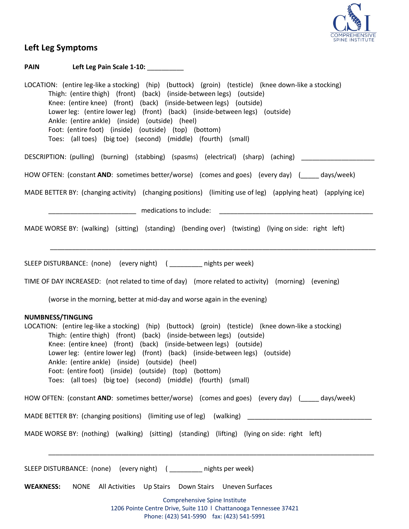

## **Left Leg Symptoms**

Comprehensive Spine Institute 1206 Pointe Centre Drive, Suite 110 l Chattanooga Tennessee 37421 **PAIN Left Leg Pain Scale 1-10:** \_\_\_\_\_\_\_\_\_\_ LOCATION: (entire leg-like a stocking) (hip) (buttock) (groin) (testicle) (knee down-like a stocking) Thigh: (entire thigh) (front) (back) (inside-between legs) (outside) Knee: (entire knee) (front) (back) (inside-between legs) (outside) Lower leg: (entire lower leg) (front) (back) (inside-between legs) (outside) Ankle: (entire ankle) (inside) (outside) (heel) Foot: (entire foot) (inside) (outside) (top) (bottom) Toes: (all toes) (big toe) (second) (middle) (fourth) (small) DESCRIPTION: (pulling) (burning) (stabbing) (spasms) (electrical) (sharp) (aching) \_\_\_\_\_\_\_\_\_\_\_\_\_\_\_\_\_\_\_\_ HOW OFTEN: (constant **AND**: sometimes better/worse) (comes and goes) (every day) (example days/week) MADE BETTER BY: (changing activity) (changing positions) (limiting use of leg) (applying heat) (applying ice) medications to include: MADE WORSE BY: (walking) (sitting) (standing) (bending over) (twisting) (lying on side: right left) \_\_\_\_\_\_\_\_\_\_\_\_\_\_\_\_\_\_\_\_\_\_\_\_\_\_\_\_\_\_\_\_\_\_\_\_\_\_\_\_\_\_\_\_\_\_\_\_\_\_\_\_\_\_\_\_\_\_\_\_\_\_\_\_\_\_\_\_\_\_\_\_\_\_\_\_\_\_\_\_\_\_\_\_\_\_\_\_\_ SLEEP DISTURBANCE: (none) (every night) ( \_\_\_\_\_\_\_\_\_ nights per week) TIME OF DAY INCREASED: (not related to time of day) (more related to activity) (morning) (evening) (worse in the morning, better at mid-day and worse again in the evening) **NUMBNESS/TINGLING** LOCATION: (entire leg-like a stocking) (hip) (buttock) (groin) (testicle) (knee down-like a stocking) Thigh: (entire thigh) (front) (back) (inside-between legs) (outside) Knee: (entire knee) (front) (back) (inside-between legs) (outside) Lower leg: (entire lower leg) (front) (back) (inside-between legs) (outside) Ankle: (entire ankle) (inside) (outside) (heel) Foot: (entire foot) (inside) (outside) (top) (bottom) Toes: (all toes) (big toe) (second) (middle) (fourth) (small) HOW OFTEN: (constant **AND**: sometimes better/worse) (comes and goes) (every day) (days/week) MADE BETTER BY: (changing positions) (limiting use of leg) (walking) MADE WORSE BY: (nothing) (walking) (sitting) (standing) (lifting) (lying on side: right left) \_\_\_\_\_\_\_\_\_\_\_\_\_\_\_\_\_\_\_\_\_\_\_\_\_\_\_\_\_\_\_\_\_\_\_\_\_\_\_\_\_\_\_\_\_\_\_\_\_\_\_\_\_\_\_\_\_\_\_\_\_\_\_\_\_\_\_\_\_\_\_\_\_\_\_\_\_\_\_\_\_\_\_\_\_\_\_\_\_ SLEEP DISTURBANCE: (none) (every night) ( \_\_\_\_\_\_\_\_\_ nights per week) **WEAKNESS:** NONE All Activities Up Stairs Down Stairs Uneven Surfaces

Phone: (423) 541-5990 fax: (423) 541-5991